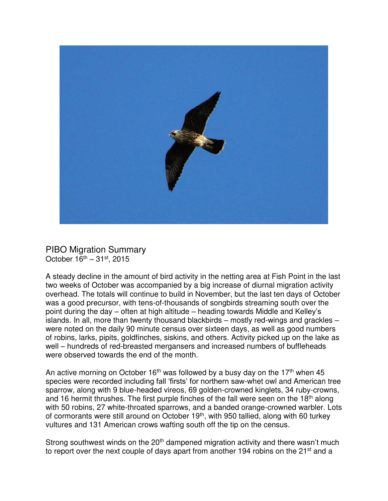

PIBO Migration Summary October  $16^{th} - 31^{st}$ , 2015

A steady decline in the amount of bird activity in the netting area at Fish Point in the last two weeks of October was accompanied by a big increase of diurnal migration activity overhead. The totals will continue to build in November, but the last ten days of October was a good precursor, with tens-of-thousands of songbirds streaming south over the point during the day – often at high altitude – heading towards Middle and Kelley's islands. In all, more than twenty thousand blackbirds – mostly red-wings and grackles – were noted on the daily 90 minute census over sixteen days, as well as good numbers of robins, larks, pipits, goldfinches, siskins, and others. Activity picked up on the lake as well – hundreds of red-breasted mergansers and increased numbers of buffleheads were observed towards the end of the month.

An active morning on October 16<sup>th</sup> was followed by a busy day on the 17<sup>th</sup> when 45 species were recorded including fall 'firsts' for northern saw-whet owl and American tree sparrow, along with 9 blue-headed vireos, 69 golden-crowned kinglets, 34 ruby-crowns, and 16 hermit thrushes. The first purple finches of the fall were seen on the  $18<sup>th</sup>$  along with 50 robins, 27 white-throated sparrows, and a banded orange-crowned warbler. Lots of cormorants were still around on October 19<sup>th</sup>, with 950 tallied, along with 60 turkey vultures and 131 American crows wafting south off the tip on the census.

Strong southwest winds on the  $20<sup>th</sup>$  dampened migration activity and there wasn't much to report over the next couple of days apart from another 194 robins on the 21<sup>st</sup> and a